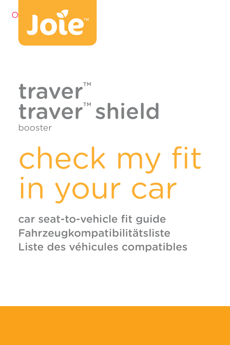

# traver™ traver™ shield booster

# check my fit in your car

car seat-to-vehicle fit guide Fahrzeugkompatibilitätsliste Liste des véhicules compatibles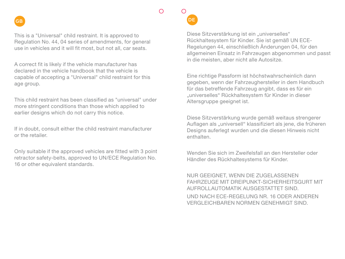This is a "Universal" child restraint. It is approved to Regulation No. 44, 04 series of amendments, for general use in vehicles and it will fit most, but not all, car seats.

A correct fit is likely if the vehicle manufacturer has declared in the vehicle handbook that the vehicle is capable of accepting a "Universal" child restraint for this age group.

This child restraint has been classified as "universal" under more stringent conditions than those which applied to earlier designs which do not carry this notice.

If in doubt, consult either the child restraint manufacturer or the retailer.

Only suitable if the approved vehicles are fitted with 3 point retractor safety-belts, approved to UN/ECE Regulation No. 16 or other equivalent standards.

DE

 $\bigcap$ 

Diese Sitzverstärkung ist ein "universelles" Rückhaltesystem für Kinder. Sie ist gemäß UN ECE-Regelungen 44, einschließlich Änderungen 04, für den allgemeinen Einsatz in Fahrzeugen abgenommen und passt in die meisten, aber nicht alle Autositze.

Eine richtige Passform ist höchstwahrscheinlich dann gegeben, wenn der Fahrzeughersteller in dem Handbuch für das betreffende Fahrzeug angibt, dass es für ein "universelles" Rückhaltesystem für Kinder in dieser Altersgruppe geeignet ist.

Diese Sitzverstärkung wurde gemäß weitaus strengerer Auflagen als "universell" klassifiziert als iene, die früheren Designs auferlegt wurden und die diesen Hinweis nicht enthalten.

Wenden Sie sich im Zweifelsfall an den Hersteller oder Händler des Rückhaltesystems für Kinder.

NUR GEEIGNET, WENN DIE ZUGELASSENEN FAHRZEUGE MIT DREIPUNKT-SICHERHEITSGURT MIT AUFROLLAUTOMATIK AUSGESTATTET SIND.

UND NACH ECE-REGELUNG NR. 16 ODER ANDEREN VERGLEICHBAREN NORMEN GENEHMIGT SIND.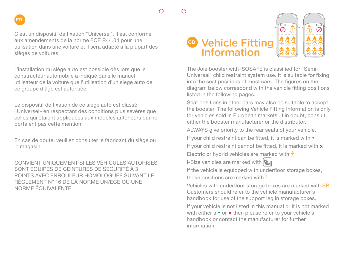FR

C'est un dispositif de fixation "Universel". Il est conforme aux amendements de la norme ECE R44.04 pour une utilisation dans une voiture et il sera adapté à la plupart des sièges de voitures.

L'installation du siège auto est possible dès lors que le constructeur automobile a indiqué dans le manuel utilisateur de la voiture que l'utilisation d'un siège auto de ce groupe d'âge est autorisée.

Le dispositif de fixation de ce siège auto est classé «Universel» en respectant des conditions plus sévères que celles qui étaient appliquées aux modèles antérieurs qui ne portaient pas cette mention.

En cas de doute, veuillez consulter le fabricant du siège ou le magasin.

CONVIENT UNIQUEMENT SI LES VÉHICULES AUTORISES SONT ÉQUIPÉS DE CEINTURES DE SÉCURITÉ À 3 POINTS AVEC ENROULEUR HOMOLOGUÉE SUIVANT LE RÈGLEMENT N° 16 DE LA NORME UN/ECE OU UNE NORME ÉQUIVALENTE.

**B** Vehicle Fitting<br>Information



The Joie booster with ISOSAFE is classified for "Semi-Universal" child restraint system use. It is suitable for fixing into the seat positions of most cars. The figures on the diagram below correspond with the vehicle fitting positions listed in the following pages.

Seat positions in other cars may also be suitable to accept the booster. The following Vehicle Fitting Information is only for vehicles sold in European markets. If in doubt, consult either the booster manufacturer or the distributor.

ALWAYS give priority to the rear seats of your vehicle.

If your child restraint can be fitted, it is marked with •

If your child restraint cannot be fitted, it is marked with **x** Electric or hybrid vehicles are marked with  $\overline{\mathbf{z}}$ 

i-Size vehicles are marked with  $\leq$ 

If the vehicle is equipped with underfloor storage boxes, these positions are marked with **!**

Vehicles with underfloor storage boxes are marked with SB! Customers should refer to the vehicle manufacturer's handbook for use of the support leg in storage boxes.

If your vehicle is not listed in this manual or it is not marked with either  $a \cdot or x$  then please refer to your vehicle's handbook or contact the manufacturer for further information.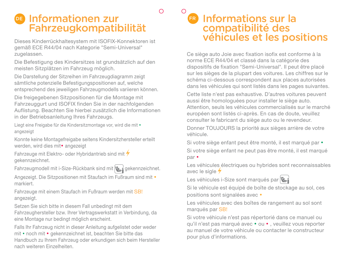## **De Informationen zur** Fahrzeugkompatibilität

Dieses Kinderrückhaltesystem mit ISOFIX-Konnektoren ist gemäß ECE R44/04 nach Kategorie "Semi-Universal" zugelassen.

Die Befestigung des Kindersitzes ist grundsätzlich auf den meisten Sitzplätzen im Fahrzeug möglich.

Die Darstellung der Sitzreihen im Fahrzeugdiagramm zeigt sämtliche potenzielle Befestigungspositionen auf, welche entsprechend des jeweiligen Fahrzeugmodells variieren können.

Die freigegebenen Sitzpositionen für die Montage mit Fahrzeuggurt und ISOFIX finden Sie in der nachfolgenden Auflistung. Beachten Sie hierbei zusätzlich die Informationen in der Betriebsanleitung Ihres Fahrzeugs.

Liegt eine Freigabe für die Kindersitzmontage vor, wird die mit • angezeigt

Konnte keine Montagefreigabe seitens Kindersitzhersteller erteilt werden, wird dies mit• angezeigt

Fahrzeuge mit Elektro- oder Hybridantrieb sind mit  $\bigtriangledown$ gekennzeichnet.

Fahrzeugmodell mit i-Size-Rückbank sind mit  $\left(\sum_i\right)$ gekennzeichnet.

Angezeigt. Die Sitzpositionen mit Staufach im Fußraum sind mit **•** markiert.

Fahrzeuge mit einem Staufach im Fußraum werden mit SB! angezeigt.

Setzen Sie sich bitte in diesem Fall unbedingt mit dem Fahrzeughersteller bzw. Ihrer Vertragswerkstatt in Verbindung, da eine Montage nur bedingt möglich erscheint.

Falls Ihr Fahrzeug nicht in dieser Anleitung aufgelistet oder weder mit • noch mit • gekennzeichnet ist, beachten Sie bitte das Handbuch zu Ihrem Fahrzeug oder erkundigen sich beim Hersteller nach weiteren Einzelheiten.

## Informations sur la compatibilité des véhicules et les positions

Ce siège auto Joie avec fixation isofix est conforme à la norme ECE R44/04 et classé dans la catégorie des dispositifs de fixation "Semi-Universal". Il peut être placé sur les sièges de la plupart des voitures. Les chiffres sur le schéma ci-dessous correspondent aux places autorisées dans les véhicules qui sont listés dans les pages suivantes.

Cette liste n'est pas exhaustive. D'autres voitures peuvent aussi être homologuées pour installer le siège auto. Attention, seuls les véhicules commercialisés sur le marché européen sont listés ci-après. En cas de doute, veuillez consulter le fabricant du siège auto ou le revendeur.

Donner TOUJOURS la priorité aux sièges arrière de votre véhicule.

Si votre siège enfant peut être monté, il est marqué par • Si votre siège enfant ne peut pas être monté, il est marqué par •

Les véhicules électriques ou hybrides sont reconnaissables avec le sigle  $\overline{\prime}$ 

Les véhicules i-Size sont marqués par



Si le véhicule est équipé de boîte de stockage au sol, ces positions sont signalées avec **•**

Les véhicules avec des boîtes de rangement au sol sont marqués par SB!

Si votre véhicule n'est pas répertorié dans ce manuel ou qu'il n'est pas marqué avec • ou • , veuillez vous reporter au manuel de votre véhicule ou contacter le constructeur pour plus d'informations.

 $\bigcap$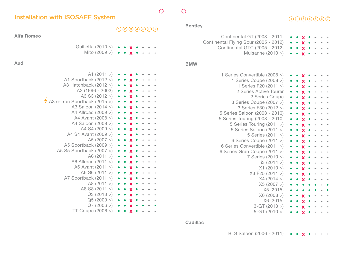|                                                                                                                                                                                                                                                                                                                                                                                                                                                                                                                                                                                                                                                                                                                                                                                                                                                | Ω                                                                                                                                                                                                                                                                                                                                                                                                                                                                                                                                                                                                                                                                                                                                                            | ∩          |                                                                                                                                                                                                                                                                                                                                                                                                                                                                                                                                                                                   |                                                                                                                                                                                                                                                                                                                                                                                                                                                                                                                                                                                                                                                                                                                                                                                                                                                                                                                                                                                                                                                                                                                                                                                                                                                                                                                                                                                                                                                                                                                                                                                                                                                                                                                                                                                                                                                                                                                                                                                                                                                                |
|------------------------------------------------------------------------------------------------------------------------------------------------------------------------------------------------------------------------------------------------------------------------------------------------------------------------------------------------------------------------------------------------------------------------------------------------------------------------------------------------------------------------------------------------------------------------------------------------------------------------------------------------------------------------------------------------------------------------------------------------------------------------------------------------------------------------------------------------|--------------------------------------------------------------------------------------------------------------------------------------------------------------------------------------------------------------------------------------------------------------------------------------------------------------------------------------------------------------------------------------------------------------------------------------------------------------------------------------------------------------------------------------------------------------------------------------------------------------------------------------------------------------------------------------------------------------------------------------------------------------|------------|-----------------------------------------------------------------------------------------------------------------------------------------------------------------------------------------------------------------------------------------------------------------------------------------------------------------------------------------------------------------------------------------------------------------------------------------------------------------------------------------------------------------------------------------------------------------------------------|----------------------------------------------------------------------------------------------------------------------------------------------------------------------------------------------------------------------------------------------------------------------------------------------------------------------------------------------------------------------------------------------------------------------------------------------------------------------------------------------------------------------------------------------------------------------------------------------------------------------------------------------------------------------------------------------------------------------------------------------------------------------------------------------------------------------------------------------------------------------------------------------------------------------------------------------------------------------------------------------------------------------------------------------------------------------------------------------------------------------------------------------------------------------------------------------------------------------------------------------------------------------------------------------------------------------------------------------------------------------------------------------------------------------------------------------------------------------------------------------------------------------------------------------------------------------------------------------------------------------------------------------------------------------------------------------------------------------------------------------------------------------------------------------------------------------------------------------------------------------------------------------------------------------------------------------------------------------------------------------------------------------------------------------------------------|
| <b>Installation with ISOSAFE System</b>                                                                                                                                                                                                                                                                                                                                                                                                                                                                                                                                                                                                                                                                                                                                                                                                        |                                                                                                                                                                                                                                                                                                                                                                                                                                                                                                                                                                                                                                                                                                                                                              |            |                                                                                                                                                                                                                                                                                                                                                                                                                                                                                                                                                                                   | 0000000                                                                                                                                                                                                                                                                                                                                                                                                                                                                                                                                                                                                                                                                                                                                                                                                                                                                                                                                                                                                                                                                                                                                                                                                                                                                                                                                                                                                                                                                                                                                                                                                                                                                                                                                                                                                                                                                                                                                                                                                                                                        |
|                                                                                                                                                                                                                                                                                                                                                                                                                                                                                                                                                                                                                                                                                                                                                                                                                                                | 0000000                                                                                                                                                                                                                                                                                                                                                                                                                                                                                                                                                                                                                                                                                                                                                      | Bentley    |                                                                                                                                                                                                                                                                                                                                                                                                                                                                                                                                                                                   |                                                                                                                                                                                                                                                                                                                                                                                                                                                                                                                                                                                                                                                                                                                                                                                                                                                                                                                                                                                                                                                                                                                                                                                                                                                                                                                                                                                                                                                                                                                                                                                                                                                                                                                                                                                                                                                                                                                                                                                                                                                                |
| Alfa Romeo<br>Guilietta (2010 >) • • $\mathbf{x}$ • – – –                                                                                                                                                                                                                                                                                                                                                                                                                                                                                                                                                                                                                                                                                                                                                                                      | Mito (2009 >) $\bullet \bullet x \bullet - -$                                                                                                                                                                                                                                                                                                                                                                                                                                                                                                                                                                                                                                                                                                                |            | Continental GT (2003 - 2011)<br>Continental Flying Spur (2005 - 2012)<br>Continental GTC (2005 - 2012)<br>Mulsanne (2010 >) $\cdot \cdot \cdot$ $\times \cdot$ -                                                                                                                                                                                                                                                                                                                                                                                                                  | $\bullet\quad\bullet\quad\mathbf{X}\quad\bullet\quad\textit{--}\quad\textit{--}\quad\textit{--}$<br>$\bullet\quad\bullet\quad\mathbf{X}\quad\bullet\quad\textbf{--}\quad$<br>$\bullet\quad\bullet\quad\mathbf{X}\quad\bullet\quad\mathbf{-}$                                                                                                                                                                                                                                                                                                                                                                                                                                                                                                                                                                                                                                                                                                                                                                                                                                                                                                                                                                                                                                                                                                                                                                                                                                                                                                                                                                                                                                                                                                                                                                                                                                                                                                                                                                                                                   |
| Audi                                                                                                                                                                                                                                                                                                                                                                                                                                                                                                                                                                                                                                                                                                                                                                                                                                           |                                                                                                                                                                                                                                                                                                                                                                                                                                                                                                                                                                                                                                                                                                                                                              | <b>BMW</b> |                                                                                                                                                                                                                                                                                                                                                                                                                                                                                                                                                                                   |                                                                                                                                                                                                                                                                                                                                                                                                                                                                                                                                                                                                                                                                                                                                                                                                                                                                                                                                                                                                                                                                                                                                                                                                                                                                                                                                                                                                                                                                                                                                                                                                                                                                                                                                                                                                                                                                                                                                                                                                                                                                |
| A1 Sportback (2012 >) $\bullet \bullet \mathbf{x} \bullet - -$<br>A3 Hatchback (2012 >) $\bullet \bullet \mathbf{x} \bullet - -$<br>$\frac{1}{2}$ A3 e-Tron Sportback (2015 >) • • $\mathbf{x}$ • – –<br>A3 Saloon (2014 >) $\bullet \bullet x \bullet - -$<br>A4 Allroad (2009 >) • • $\times$ • – – –<br>A4 Avant (2008 >) $\bullet \bullet \mathbf{x} \bullet - -$<br>A4 Saloon (2008 >) $\bullet \bullet \mathbf{x} \bullet - -$<br>A4 S4 Avant (2009 >) $\bullet \bullet x \bullet - -$<br>A5 Sportback (2009 >) • • $\times$ • – –<br>A5 S5 Sportback (2007 >) $\bullet \bullet \mathbf{x} \bullet - -$<br>A6 Allroad (2011 >) $\bullet \bullet \mathbf{x} \bullet - -$<br>A6 Avant (2011 >) $\bullet \bullet x \bullet - -$<br>A7 Sportback (2011 >) • • $\times$ • - - -<br>TT Coupe (2006 >) $\bullet \bullet \mathbf{X} \bullet - -$ | A1 (2011 >) $\bullet \bullet \mathbf{X} \bullet - -$<br>A3 (1996 - 2003) $\bullet \bullet \mathbf{X} \bullet - -$<br>A3 S3 (2012 >) $\bullet \bullet \mathbf{x} \bullet \mathbf{---}$<br>A4 S4 (2009 >) $\bullet \bullet \mathbf{X} \bullet - -$<br>A5 (2007 >) $\bullet \bullet \mathbf{X} \bullet - -$<br>A6 (2011 >) $\bullet \bullet \mathbf{x} \bullet - -$<br>A6 S6 (2011 >) $\bullet \bullet \mathbf{x} \bullet - -$<br>A8 (2011 >) $\bullet \bullet \mathbf{X} \bullet - -$<br>A8 S8 (2011 >) $\bullet \bullet \mathbf{X} \bullet - -$<br>$Q3 (2013>)$ $\bullet$ $\bullet$ $\times$ $\bullet$ $\bullet$ $\bullet$ $\bullet$<br>$Q5 (2009 >) \bullet \bullet \bullet \mathbf{X} \bullet - -$<br>$Q7 (2006) \cdot \cdot \cdot \cdot \cdot \cdot \cdot$ | Cadillac   | 1 Series Convertible (2008 >)<br>1 Series Coupe (2008 >) $\bullet \bullet \mathbf{x} \bullet \mathbf{---}$<br>1 Series F20 (2011 >)<br>2 Series Active Tourer • • x • - - -<br>2 Series Coupe<br>3 Series Coupe (2007 >)<br>3 Series F30 (2012 >)<br>5 Series Saloon (2003 - 2010)<br>5 Series Touring (2003 - 2010)<br>5 Series Touring (2011 >)<br>5 Series Saloon (2011 >)<br>5 Series (2011 >)<br>6 Series Coupe (2011 >)<br>6 Series Convertible (2011 >)<br>6 Series Gran Coupe (2011 >)<br>i3(2014)<br>X1 (2010)<br>X3 F25 (2011 >)<br>X5 (2015)<br>X6(2008>)<br>X6 (2015) | $\bullet\quad\bullet\quad\mathbf{X}\quad\bullet\quad\textit{--}\quad\textit{--}\quad\textit{-}$<br>$\mathbf{a} \cdot \mathbf{a} \cdot \mathbf{X} \cdot \mathbf{a} \cdot \mathbf{b}$<br>$\bullet\quad\bullet\quad\mathbf{X}\quad\bullet\quad\textbf{--}\quad$<br>$\bullet\quad\bullet\quad\mathbf{X}\quad\bullet\quad\textit{--}\quad\textit{--}\quad\textit{-}$<br>$\bullet\quad\bullet\quad\mathbf{X}\quad\bullet\quad\textcolor{red}{\bullet}\quad\textcolor{red}{\bullet}\quad\textcolor{red}{\bullet}\quad\textcolor{red}{\bullet}\quad\textcolor{red}{\bullet}\quad\textcolor{red}{\bullet}\quad\textcolor{red}{\bullet}\quad\textcolor{red}{\bullet}\quad\textcolor{red}{\bullet}\quad\textcolor{red}{\bullet}\quad\textcolor{red}{\bullet}\quad\textcolor{red}{\bullet}\quad\textcolor{red}{\bullet}\quad\textcolor{red}{\bullet}\quad\textcolor{red}{\bullet}\quad\textcolor{red}{\bullet}\quad\textcolor{red}{\bullet}\quad\textcolor{red}{\bullet}\quad\textcolor{red}{\bullet}\quad\textcolor{red}{\bullet}\quad\$<br>7 Series (2010 >) $\bullet \bullet x \bullet - -$<br>$\bullet\quad\bullet\quad\mathbf{X}\quad\bullet\quad\textcolor{red}{\bullet}\quad\textcolor{red}{\bullet}\quad\textcolor{red}{\bullet}\quad\textcolor{red}{\bullet}\quad\textcolor{red}{\bullet}\quad\textcolor{red}{\bullet}\quad\textcolor{red}{\bullet}\quad\textcolor{red}{\bullet}\quad\textcolor{red}{\bullet}\quad\textcolor{red}{\bullet}\quad\textcolor{red}{\bullet}\quad\textcolor{red}{\bullet}\quad\textcolor{red}{\bullet}\quad\textcolor{red}{\bullet}\quad\textcolor{red}{\bullet}\quad\textcolor{red}{\bullet}\quad\textcolor{red}{\bullet}\quad\textcolor{red}{\bullet}\quad\textcolor{red}{\bullet}\quad\textcolor{red}{\bullet}\quad\$<br>$\bullet\quad \bullet\quad \mathbf{X}\quad \bullet\quad \mathbf{Y}$<br>$X4 (2014 >)$ $\bullet \bullet \bullet$<br>$X5 (2007>)$<br>$\bullet\quad \bullet\quad \mathbf{X}\quad \bullet\quad \mathbf{Y}$<br>$3-GT (2013>)$ $\bullet \bullet \bullet \bullet$<br>5-GT (2010 >) $\bullet \bullet x \bullet - -$ |
|                                                                                                                                                                                                                                                                                                                                                                                                                                                                                                                                                                                                                                                                                                                                                                                                                                                |                                                                                                                                                                                                                                                                                                                                                                                                                                                                                                                                                                                                                                                                                                                                                              |            |                                                                                                                                                                                                                                                                                                                                                                                                                                                                                                                                                                                   |                                                                                                                                                                                                                                                                                                                                                                                                                                                                                                                                                                                                                                                                                                                                                                                                                                                                                                                                                                                                                                                                                                                                                                                                                                                                                                                                                                                                                                                                                                                                                                                                                                                                                                                                                                                                                                                                                                                                                                                                                                                                |
|                                                                                                                                                                                                                                                                                                                                                                                                                                                                                                                                                                                                                                                                                                                                                                                                                                                |                                                                                                                                                                                                                                                                                                                                                                                                                                                                                                                                                                                                                                                                                                                                                              |            | BLS Saloon (2006 - 2011) $\cdot \cdot \cdot$ $\cdot$ $\cdot$ - - -                                                                                                                                                                                                                                                                                                                                                                                                                                                                                                                |                                                                                                                                                                                                                                                                                                                                                                                                                                                                                                                                                                                                                                                                                                                                                                                                                                                                                                                                                                                                                                                                                                                                                                                                                                                                                                                                                                                                                                                                                                                                                                                                                                                                                                                                                                                                                                                                                                                                                                                                                                                                |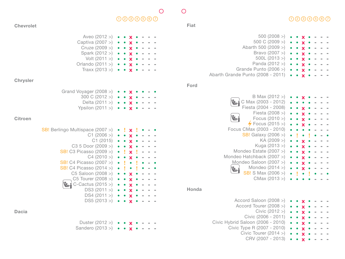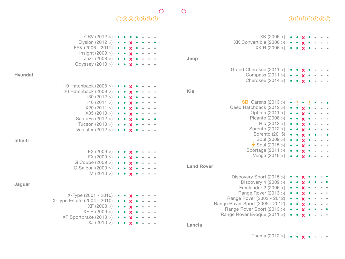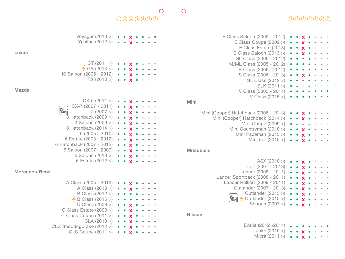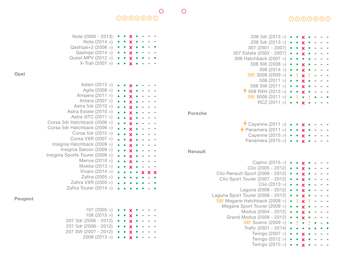#### 1)(2)(3)(4)(5)(6)(7

| 208 3dr (2013 $>$ ) $\bullet$                     |                     | $\cdot$ x   |    |                               |  |
|---------------------------------------------------|---------------------|-------------|----|-------------------------------|--|
| 208 5dr (2013 >) $\bullet \bullet x$              |                     |             |    |                               |  |
| 307 (2001 - 2007)                                 |                     | $\bullet$ X |    |                               |  |
| 307 Estate (2002 - 2007)                          | $\bullet \bullet x$ |             |    |                               |  |
| 308 Hatchback (2007 >)                            |                     |             |    |                               |  |
| 308 SW (2008 >) $\bullet \bullet x$               |                     |             |    |                               |  |
| 308 (2014 >) $\bullet \bullet \mathbf{x}$         |                     |             |    | $\bullet$ $\bullet$ $\bullet$ |  |
| SB! 3008 (2009 >) $\bullet$ ! $\times$ ! -        |                     |             |    |                               |  |
| 508 (2011 >) $\bullet \bullet \mathbf{X} \bullet$ |                     |             |    |                               |  |
| 508 SW (2011 $>$ ) $\bullet$                      |                     | $\bullet$ X |    |                               |  |
| $7508$ RXH (2013 >) • • x                         |                     |             |    |                               |  |
| SB! 5008 (2011 >) $\bullet$ ! $\bullet$           |                     |             | -1 |                               |  |
| RCZ (2011 >) $\bullet \bullet \bullet$            |                     |             |    |                               |  |
|                                                   |                     |             |    |                               |  |

### Cayenne (2011 >) Panamera (2011 >) Cayenne (2015 >)  $\bullet \bullet \mathbf{X} \bullet \mathbf{I} \bullet \mathbf{I}$ Panamera (2015 >)  $\bullet \bullet \mathbf{x} \bullet \mathbf{---}$

## Captur (2015 >)  $\bullet \bullet x \bullet - -$ Clio (2005 - 2012)  $\bullet \bullet \mathbf{x} \bullet - -$ Clio Renault Sport (2006 - 2012)  $\bullet \bullet \mathbf{X} \bullet - -$ Clio Sport Tourer (2007 - 2012)  $\bullet \bullet x \bullet - -$ Clio (2013 >)  $\bullet \bullet \mathbf{x} \bullet - -$ Laguna (2008 - 2012)  $\bullet \bullet \mathbf{X} \bullet \bullet \bullet \bullet$ Laguna Sport Tourer (2008 - 2012)  $\bullet \bullet x \bullet - -$ SB! Megane Hatchback  $(2008 >) \cdot \cdot \cdot \times \cdot$ Megane Sport Tourer (2009 >)  $\cdot \cdot \cdot$   $\cdot$   $\cdot$  - - -Modus (2004 - 2012) • •  $\times$  • – – – Grand Modus (2008 - 2012)  $\cdot \cdot \cdot$   $\times \cdot$  - - -SB! Scenic  $(2009 >) \cdot \cdot \cdot \cdot \cdot$ Trafic (2001 - 2014)  $\bullet \bullet \bullet \bullet \bullet \bullet \bullet \bullet$ Twingo (2007 >)  $\bullet \bullet x \bullet - -$ Twingo (2012 >)  $\bullet \bullet x \bullet - -$ Twingo (2015 >)  $\bullet \bullet x \bullet - -$ **•••••••!•••!••••••••••••!•••!•••• ••••••••••••••••••••••••••••••••• •••••••!•••!••••••••••••!•••!•••• xxxx•xxxxxx•xxxxxxxxxxxxxxxx••xxx -----------•----------------••--- -----------------------------•--- -----------•----------------••---**

## 1)(2)(3)(4)(5)(6)(7

Porsche

 $\Omega$ 

Renault

| Note (2006 - 2013)   |  | $\bullet$ $\bullet$ $\times$ $\bullet$ $\circ$ $\circ$ $\circ$                                                                                                                                                                                                                                                                                                                                                                                                                                                                                                                                                                                             |  |  |
|----------------------|--|------------------------------------------------------------------------------------------------------------------------------------------------------------------------------------------------------------------------------------------------------------------------------------------------------------------------------------------------------------------------------------------------------------------------------------------------------------------------------------------------------------------------------------------------------------------------------------------------------------------------------------------------------------|--|--|
| Note $(2014)$        |  | $\bullet\quad\bullet\quad\mathbf{X}\quad\bullet\quad\textcolor{red}{\bullet}\quad\textcolor{red}{\bullet}\quad\textcolor{red}{\bullet}\quad\textcolor{red}{\bullet}\quad\textcolor{red}{\bullet}\quad\textcolor{red}{\bullet}\quad\textcolor{red}{\bullet}\quad\textcolor{red}{\bullet}\quad\textcolor{red}{\bullet}\quad\textcolor{red}{\bullet}\quad\textcolor{red}{\bullet}\quad\textcolor{red}{\bullet}\quad\textcolor{red}{\bullet}\quad\textcolor{red}{\bullet}\quad\textcolor{red}{\bullet}\quad\textcolor{red}{\bullet}\quad\textcolor{red}{\bullet}\quad\textcolor{red}{\bullet}\quad\textcolor{red}{\bullet}\quad\textcolor{red}{\bullet}\quad\$ |  |  |
| $Qashqai+2$ (2008 >) |  | $\bullet\quad\bullet\quad\mathbf{X}\quad\bullet\quad\bullet\quad\bullet\quad\bullet$                                                                                                                                                                                                                                                                                                                                                                                                                                                                                                                                                                       |  |  |
| Qashqai (2014 >)     |  | $\bullet\quad\bullet\quad\mathbf{X}\quad\bullet\quad\textit{--}\quad\textit{--}\quad\textit{-}$                                                                                                                                                                                                                                                                                                                                                                                                                                                                                                                                                            |  |  |
| Quest MPV (2012 >)   |  | $\bullet \bullet \mathbf{X} \bullet \bullet \bullet \bullet \bullet$                                                                                                                                                                                                                                                                                                                                                                                                                                                                                                                                                                                       |  |  |
| $X-Trail (2007)$     |  |                                                                                                                                                                                                                                                                                                                                                                                                                                                                                                                                                                                                                                                            |  |  |

#### Opel

| Note (2006 - 2013)<br>Note $(2014)$<br>Qashqai+2 (2008 >)    | ٠ | $\bullet$<br>٠<br>٠ | x<br>×<br>$\times$ . | $\bullet$<br>٠ | $\qquad \qquad \blacksquare$<br>$\overline{\phantom{0}}$<br>٠ | $\qquad \qquad \blacksquare$      | ٠      |  |
|--------------------------------------------------------------|---|---------------------|----------------------|----------------|---------------------------------------------------------------|-----------------------------------|--------|--|
| Qashqai (2014 >)<br>Quest MPV (2012 >)                       |   | ٠<br>٠              | ×<br>×               | ٠<br>٠         | $\qquad \qquad \blacksquare$<br>٠                             |                                   |        |  |
| X-Trail (2007 >)                                             | ٠ | ۰                   | ×                    |                | $\qquad \qquad \blacksquare$                                  |                                   |        |  |
| Adam (2013 >)<br>Agila (2008 >)                              |   |                     | ×                    |                |                                                               |                                   |        |  |
| Ampera (2011 >)<br>Antara (2007 >)                           |   | ٠<br>٠              | ×<br>×               | ٠<br>٠         |                                                               |                                   |        |  |
| Astra 5dr (2010 >)<br>Astra Estate (2010 >)                  |   | ٠<br>٠              | ×<br>×               | ٠              |                                                               |                                   |        |  |
| Astra GTC (2011 >)                                           | ò | ٠<br>٠              | ×<br>×               |                |                                                               |                                   |        |  |
| Corsa 3dr Hatchback (2006 >)<br>Corsa 5dr Hatchback (2006 >) |   | ٠<br>٠              | ×<br>×               | ٠<br>٠         |                                                               |                                   |        |  |
| Corsa 5dr (2015 >)<br>Corsa VXR (2007 >)                     |   | ٠<br>٠              | ×<br>×               |                |                                                               |                                   |        |  |
| Insignia Hatchback (2009 >)<br>Insignia Saloon (2009 >)      |   | ۰<br>٠              | ×<br>×               |                |                                                               |                                   |        |  |
| Insignia Sports Tourer (2009 >)<br>Meriva (2010 >)           |   | ٠<br>٠              | ×<br>×               |                | $\overline{a}$                                                |                                   |        |  |
| Mokka (2013 >)<br>Vivaro $(2014)$                            |   | ٠                   | ×<br>٠               | ٠<br>٠         | $\qquad \qquad \blacksquare$<br>×                             | $\qquad \qquad \blacksquare$<br>× | ٠<br>× |  |
| Zafira (2005 >)<br>Zafira VXR (2005 >)                       |   |                     |                      |                | ٠                                                             |                                   | ٠      |  |
| Zafira Tourer (2014 >)                                       |   |                     |                      |                |                                                               |                                   |        |  |
| 107(2005)<br>108(2015)                                       |   | ٠                   | x<br>×               | ٠              | $\overline{a}$                                                |                                   |        |  |
| 207 3dr (2006 - 2012)<br>207 5dr (2006 - 2012)               |   | ٠<br>٠              | ×<br>×               |                | $\overline{a}$                                                |                                   |        |  |
| 207 SW (2007 - 2012)<br>2008(2013)                           | ۰ | ٠                   | ×                    |                | $\overline{\phantom{0}}$                                      | $\qquad \qquad \blacksquare$      | ٠      |  |
|                                                              |   |                     | ×                    | ٠              | $\qquad \qquad \blacksquare$                                  |                                   |        |  |

#### Peugeot

| $107(2005) \cdot \cdot \cdot \cdot \cdot$                                          |  |  |  |  |
|------------------------------------------------------------------------------------|--|--|--|--|
| 108 (2015 >) $\bullet \bullet \mathbf{x} \bullet \mathbf{---}$                     |  |  |  |  |
| $2073$ dr (2006 - 2012) $\bullet \bullet \mathbf{x} \bullet - -$                   |  |  |  |  |
| 207 5dr (2006 - 2012) $\bullet \bullet \mathbf{x} \bullet - -$                     |  |  |  |  |
| 207 SW (2007 - 2012) • • x • - - -                                                 |  |  |  |  |
| $2008(2013>)$ $\bullet$ $\bullet$ $\times$ $\bullet$ $\bullet$ $\bullet$ $\bullet$ |  |  |  |  |
|                                                                                    |  |  |  |  |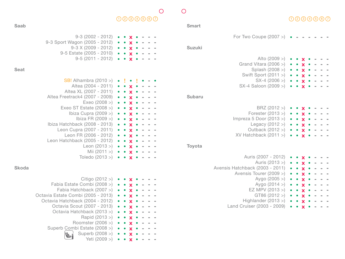|       |                                                                                          | $0@0@0@0\,$                                                                             |        |                                                                                             | 00000000                                                                              |
|-------|------------------------------------------------------------------------------------------|-----------------------------------------------------------------------------------------|--------|---------------------------------------------------------------------------------------------|---------------------------------------------------------------------------------------|
|       |                                                                                          |                                                                                         |        |                                                                                             |                                                                                       |
| Saab  |                                                                                          |                                                                                         | Smart  |                                                                                             |                                                                                       |
|       |                                                                                          | $9-3(2002 - 2012)$ $\bullet$ $\bullet$ <b>X</b> $\bullet$ $\bullet$ $\bullet$ $\bullet$ |        | For Two Coupe $(2007 >) \bullet - - -$                                                      |                                                                                       |
|       | 9-3 Sport Wagon (2005 - 2012) • • $\mathbf{x}$ • – – –                                   |                                                                                         |        |                                                                                             |                                                                                       |
|       | $9-3 \times (2009 - 2012) \cdot \cdot \cdot \times \cdot$                                |                                                                                         | Suzuki |                                                                                             |                                                                                       |
|       | 9-5 Estate (2005 - 2010) $\bullet \bullet x \bullet - -$                                 |                                                                                         |        |                                                                                             |                                                                                       |
|       |                                                                                          | $9-5(2011 - 2012)$ $\bullet$ $\bullet$ <b>X</b> $\bullet$ $\bullet$ $\bullet$ $\bullet$ |        |                                                                                             | Alto (2009 >) $\bullet \bullet x \bullet - -$                                         |
|       |                                                                                          |                                                                                         |        | Grand Vitara (2006 >) $\bullet \bullet x \bullet - -$                                       |                                                                                       |
| Seat  |                                                                                          |                                                                                         |        |                                                                                             | Splash (2008 >) • • $x$ • - - -                                                       |
|       |                                                                                          |                                                                                         |        | Swift Sport (2011 >) $\bullet \bullet x \bullet - -$                                        |                                                                                       |
|       | SB! Alhambra (2010 >) $\bullet$ ! $\bullet$ ! $\bullet$ $\bullet$ $\bullet$              |                                                                                         |        |                                                                                             | $SX-4(2006>)$ $x \cdot -$                                                             |
|       | Altea (2004 - 2011) $\bullet \bullet \mathbf{x} \bullet - -$                             |                                                                                         |        | SX-4 Saloon (2009 >) $\bullet \bullet x \bullet - -$                                        |                                                                                       |
|       | Altea XL (2007 - 2011) $\bullet \bullet \mathbf{x} \bullet - -$                          |                                                                                         |        |                                                                                             |                                                                                       |
|       | Altea Freetrack4 (2007 - 2009) • • $\times$ • – – –                                      |                                                                                         | Subaru |                                                                                             |                                                                                       |
|       |                                                                                          | Exeo (2008 >) • • $\times$ • – – –                                                      |        |                                                                                             |                                                                                       |
|       | Exeo ST Estate (2008 >) • • $\mathbf{x}$ • – –                                           |                                                                                         |        |                                                                                             | BRZ (2012 >) $\bullet \bullet x \bullet - -$                                          |
|       | Ibiza Cupra (2009 >) $\bullet \bullet \mathbf{x} \bullet - -$                            |                                                                                         |        |                                                                                             | Forester (2013 >) • • $\mathbf{x}$ • – – –                                            |
|       |                                                                                          | Ibiza FR (2009 >) • • $\times$ • – – –                                                  |        | Impreza 5 Door (2013 >) $\bullet \bullet \mathbf{x} \bullet \mathbf{u}$                     |                                                                                       |
|       | Ibiza Hatchback (2008 - 2013) • • $\mathbf{x}$ • – – –                                   |                                                                                         |        |                                                                                             | Legacy (2012 >) • • $x \cdot - -$                                                     |
|       | Leon Cupra (2007 - 2011) $\cdot \cdot \cdot$ $\cdot$ $\cdot$ $\cdot$ - - -               |                                                                                         |        |                                                                                             | Outback (2012 >) $\bullet \bullet x \bullet - -$                                      |
|       | Leon FR (2006 - 2012) $\bullet \bullet \times \bullet - -$                               |                                                                                         |        | XV Hatchback (2011 >) $\bullet \bullet \bullet \bullet \bullet - -$                         |                                                                                       |
|       | Leon Hatchback (2005 - 2012) • • $x \cdot -$ - -                                         |                                                                                         |        |                                                                                             |                                                                                       |
|       |                                                                                          | Leon (2013 >) $\bullet \bullet x \bullet - -$                                           | Toyota |                                                                                             |                                                                                       |
|       |                                                                                          | Mii (2011 >) $\bullet \bullet x \bullet - -$                                            |        |                                                                                             |                                                                                       |
|       |                                                                                          | Toledo (2013 >) $\bullet \bullet \mathbf{x} \bullet \mathbf{---}$                       |        |                                                                                             | Auris (2007 - 2012) $\bullet \bullet \bullet \bullet \bullet \bullet \bullet \bullet$ |
|       |                                                                                          |                                                                                         |        |                                                                                             | Auris (2013 >) • • $\times$ • – – –                                                   |
| Skoda |                                                                                          |                                                                                         |        | Avensis Hatchback (2003 - 2011) $\cdot \cdot \cdot$ $\cdot$ $\cdot$ - - -                   |                                                                                       |
|       |                                                                                          |                                                                                         |        | Avensis Tourer (2009 >) $\cdot \cdot \cdot$ $\cdot$ $\cdot$ $\cdot$ $\cdot$ $\cdot$ $\cdot$ |                                                                                       |
|       |                                                                                          | Citigo (2012 >) • • $\times$ • – – –                                                    |        |                                                                                             | Aygo $(2005) \cdot \cdot \cdot \cdot \cdot$                                           |
|       | Fabia Estate Combi (2008 >) $\bullet \bullet \mathbf{x} \bullet \bullet \bullet \bullet$ |                                                                                         |        |                                                                                             | Aygo $(2014) \cdot \cdot \cdot \cdot \cdot$                                           |
|       | Fabia Hatchback (2007 >) $\bullet \bullet \mathbf{x} \bullet - -$                        |                                                                                         |        |                                                                                             | EZ MPV (2013 >) $\bullet \bullet \mathbf{x} \bullet - -$                              |
|       | Octavia Estate Combi (2005 - 2013) $\bullet \bullet x \bullet - -$                       |                                                                                         |        |                                                                                             | GT86 (2012 >) $\cdot \cdot \cdot$ $\times \cdot \cdot$ - - -                          |
|       | Octavia Hatchback (2004 - 2012) • • $\mathbf{x}$ • - - -                                 |                                                                                         |        |                                                                                             | Highlander (2013 >) $\bullet \bullet x \bullet - -$                                   |
|       | Octavia Scout (2007 - 2013) $\bullet \bullet \mathbf{x} \bullet - -$                     |                                                                                         |        | Land Cruiser (2003 - 2009) • • $\mathbf{x}$ • – – –                                         |                                                                                       |
|       | Octavia Hatchback (2013 >) $\bullet \bullet \mathbf{x} \bullet - -$                      |                                                                                         |        |                                                                                             |                                                                                       |
|       |                                                                                          | Rapid (2013 >) • • $\bm{x}$ • – – –                                                     |        |                                                                                             |                                                                                       |
|       | Roomster (2006 >) • • $\mathbf{x}$ • – – –                                               |                                                                                         |        |                                                                                             |                                                                                       |
|       | Superb Combi Estate (2008 >) $\bullet \bullet \times \bullet - -$                        |                                                                                         |        |                                                                                             |                                                                                       |
|       |                                                                                          | Superb (2008 >) $\bullet \bullet \mathbf{X} \bullet - -$                                |        |                                                                                             |                                                                                       |
|       |                                                                                          | Yeti (2009 >) • • $\times$ • - - -                                                      |        |                                                                                             |                                                                                       |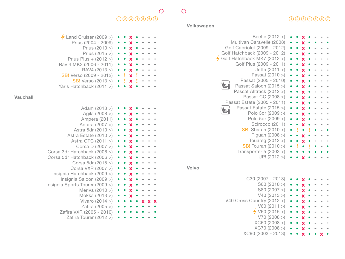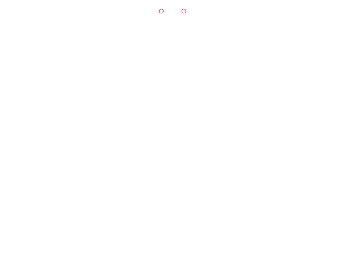